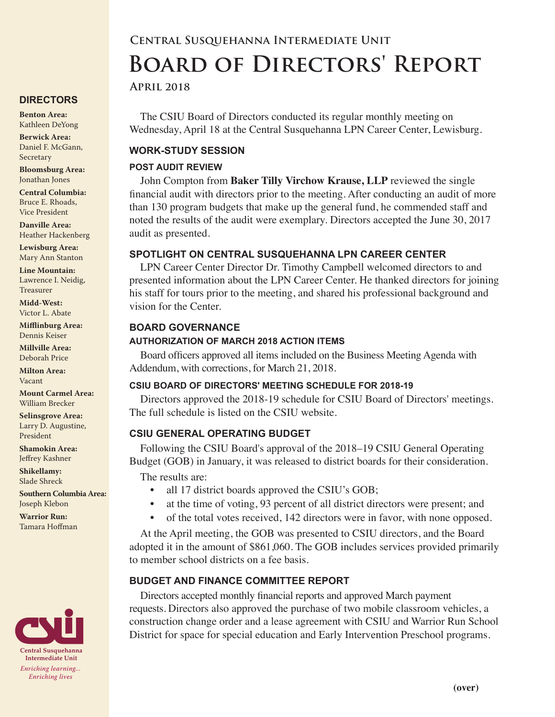#### **DIRECTORS**

**Benton Area:** Kathleen DeYong

**Berwick Area:** Daniel F. McGann, Secretary

**Bloomsburg Area:**  Jonathan Jones

**Central Columbia:** Bruce E. Rhoads, Vice President

**Danville Area:** Heather Hackenberg

**Lewisburg Area:** Mary Ann Stanton

**Line Mountain:** Lawrence I. Neidig, Treasurer

**Midd-West:**  Victor L. Abate

**Mifflinburg Area:** Dennis Keiser

**Millville Area:** Deborah Price

**Milton Area:** Vacant

**Mount Carmel Area:**  William Brecker

**Selinsgrove Area:**  Larry D. Augustine, President

**Shamokin Area:** Jeffrey Kashner

**Shikellamy:**  Slade Shreck

**Southern Columbia Area:** Joseph Klebon

**Warrior Run:** Tamara Hoffman



# **Central Susquehanna Intermediate Unit Board of Directors' Report**

## **April 2018**

The CSIU Board of Directors conducted its regular monthly meeting on Wednesday, April 18 at the Central Susquehanna LPN Career Center, Lewisburg.

## **WORK-STUDY SESSION**

#### **POST AUDIT REVIEW**

John Compton from **Baker Tilly Virchow Krause, LLP** reviewed the single financial audit with directors prior to the meeting. After conducting an audit of more than 130 program budgets that make up the general fund, he commended staff and noted the results of the audit were exemplary. Directors accepted the June 30, 2017 audit as presented.

## **SPOTLIGHT ON CENTRAL SUSQUEHANNA LPN CAREER CENTER**

LPN Career Center Director Dr. Timothy Campbell welcomed directors to and presented information about the LPN Career Center. He thanked directors for joining his staff for tours prior to the meeting, and shared his professional background and vision for the Center.

#### **BOARD GOVERNANCE**

#### **AUTHORIZATION OF MARCH 2018 ACTION ITEMS**

Board officers approved all items included on the Business Meeting Agenda with Addendum, with corrections, for March 21, 2018.

#### **CSIU BOARD OF DIRECTORS' MEETING SCHEDULE FOR 2018-19**

Directors approved the 2018-19 schedule for CSIU Board of Directors' meetings. The full schedule is listed on the CSIU website.

## **CSIU GENERAL OPERATING BUDGET**

Following the CSIU Board's approval of the 2018–19 CSIU General Operating Budget (GOB) in January, it was released to district boards for their consideration.

The results are:

- all 17 district boards approved the CSIU's GOB;
- at the time of voting, 93 percent of all district directors were present; and
- of the total votes received, 142 directors were in favor, with none opposed.

At the April meeting, the GOB was presented to CSIU directors, and the Board adopted it in the amount of \$861,060. The GOB includes services provided primarily to member school districts on a fee basis.

## **BUDGET AND FINANCE COMMITTEE REPORT**

Directors accepted monthly financial reports and approved March payment requests. Directors also approved the purchase of two mobile classroom vehicles, a construction change order and a lease agreement with CSIU and Warrior Run School District for space for special education and Early Intervention Preschool programs.